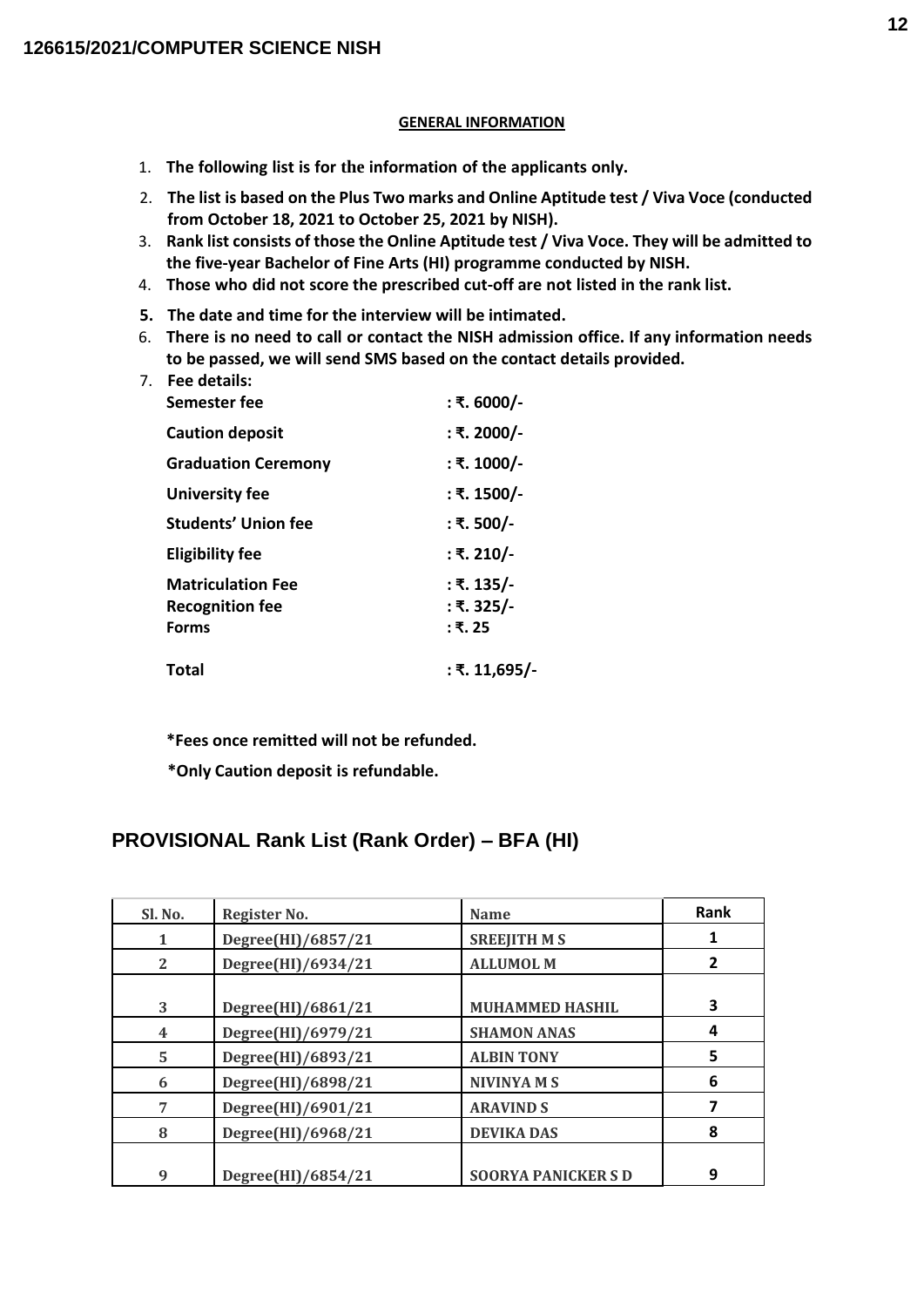#### **GENERAL INFORMATION**

- 1. **The following list is for the information of the applicants only.**
- 2. **The list is based on the Plus Two marks and Online Aptitude test / Viva Voce (conducted from October 18, 2021 to October 25, 2021 by NISH).**
- 3. **Rank list consists of those the Online Aptitude test / Viva Voce. They will be admitted to the five-year Bachelor of Fine Arts (HI) programme conducted by NISH.**
- 4. **Those who did not score the prescribed cut-off are not listed in the rank list.**
- **5. The date and time for the interview will be intimated.**
- 6. **There is no need to call or contact the NISH admission office. If any information needs to be passed, we will send SMS based on the contact details provided.**

| 7 <sub>1</sub> | Fee details:               |               |
|----------------|----------------------------|---------------|
|                | Semester fee               | : ₹. 6000/-   |
|                | <b>Caution deposit</b>     | : ₹. 2000/-   |
|                | <b>Graduation Ceremony</b> | : ₹. 1000/-   |
|                | University fee             | : ₹. 1500/-   |
|                | <b>Students' Union fee</b> | : ₹. 500/-    |
|                | <b>Eligibility fee</b>     | : ₹. 210/-    |
|                | <b>Matriculation Fee</b>   | : ₹. 135/-    |
|                | <b>Recognition fee</b>     | : ₹. 325/-    |
|                | <b>Forms</b>               | : ₹. 25       |
|                | <b>Total</b>               | ∶ ₹. 11,695/- |
|                |                            |               |

**\*Fees once remitted will not be refunded.**

**\*Only Caution deposit is refundable.**

## **PROVISIONAL Rank List (Rank Order) – BFA (HI)**

| Sl. No.               | Register No.       | <b>Name</b>              | Rank |
|-----------------------|--------------------|--------------------------|------|
|                       | Degree(HI)/6857/21 | <b>SREEJITH MS</b>       |      |
| $\mathbf{2}^{\prime}$ | Degree(HI)/6934/21 | <b>ALLUMOL M</b>         | 2    |
|                       |                    |                          |      |
| 3                     | Degree(HI)/6861/21 | <b>MUHAMMED HASHIL</b>   | 3    |
| 4                     | Degree(HI)/6979/21 | <b>SHAMON ANAS</b>       | 4    |
| 5                     | Degree(HI)/6893/21 | <b>ALBIN TONY</b>        | 5    |
| 6                     | Degree(HI)/6898/21 | <b>NIVINYAMS</b>         | 6    |
| 7                     | Degree(HI)/6901/21 | <b>ARAVIND S</b>         |      |
| 8                     | Degree(HI)/6968/21 | <b>DEVIKA DAS</b>        | 8    |
|                       |                    |                          |      |
| 9                     | Degree(HI)/6854/21 | <b>SOORYA PANICKERSD</b> | 9    |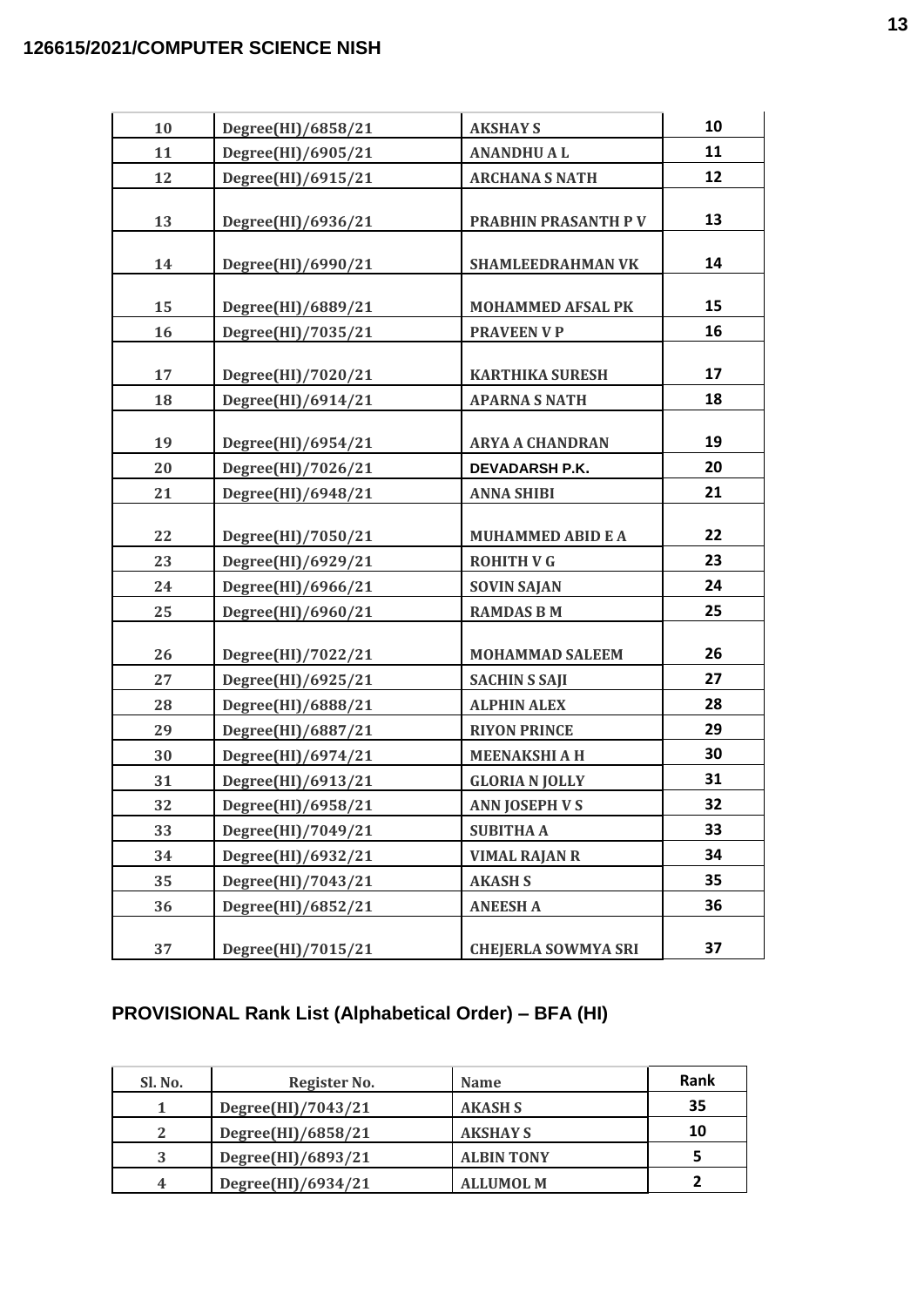| 10 | Degree(HI)/6858/21 | <b>AKSHAY S</b>             | 10       |
|----|--------------------|-----------------------------|----------|
| 11 | Degree(HI)/6905/21 | <b>ANANDHUAL</b>            | 11       |
| 12 | Degree(HI)/6915/21 | <b>ARCHANA S NATH</b>       | 12       |
| 13 | Degree(HI)/6936/21 | <b>PRABHIN PRASANTH P V</b> | 13       |
| 14 | Degree(HI)/6990/21 | <b>SHAMLEEDRAHMAN VK</b>    | 14       |
| 15 | Degree(HI)/6889/21 | <b>MOHAMMED AFSAL PK</b>    | 15       |
| 16 | Degree(HI)/7035/21 | <b>PRAVEEN V P</b>          | 16       |
| 17 | Degree(HI)/7020/21 | <b>KARTHIKA SURESH</b>      | 17<br>18 |
| 18 | Degree(HI)/6914/21 | <b>APARNA S NATH</b>        |          |
| 19 | Degree(HI)/6954/21 | <b>ARYA A CHANDRAN</b>      | 19       |
| 20 | Degree(HI)/7026/21 | DEVADARSH P.K.              | 20       |
| 21 | Degree(HI)/6948/21 | <b>ANNA SHIBI</b>           | 21       |
| 22 | Degree(HI)/7050/21 | <b>MUHAMMED ABID E A</b>    | 22       |
| 23 | Degree(HI)/6929/21 | <b>ROHITH V G</b>           | 23       |
| 24 | Degree(HI)/6966/21 | <b>SOVIN SAJAN</b>          | 24       |
| 25 | Degree(HI)/6960/21 | <b>RAMDAS B M</b>           | 25       |
| 26 | Degree(HI)/7022/21 | <b>MOHAMMAD SALEEM</b>      | 26       |
| 27 | Degree(HI)/6925/21 | <b>SACHIN S SAJI</b>        | 27       |
| 28 | Degree(HI)/6888/21 | <b>ALPHIN ALEX</b>          | 28       |
| 29 | Degree(HI)/6887/21 | <b>RIYON PRINCE</b>         | 29       |
| 30 | Degree(HI)/6974/21 | <b>MEENAKSHI A H</b>        | 30       |
| 31 | Degree(HI)/6913/21 | <b>GLORIA N JOLLY</b>       | 31       |
| 32 | Degree(HI)/6958/21 | <b>ANN JOSEPH V S</b>       | 32       |
| 33 | Degree(HI)/7049/21 | <b>SUBITHA A</b>            | 33       |
| 34 | Degree(HI)/6932/21 | <b>VIMAL RAJAN R</b>        | 34       |
| 35 | Degree(HI)/7043/21 | <b>AKASH S</b>              | 35       |
| 36 | Degree(HI)/6852/21 | <b>ANEESH A</b>             | 36       |
| 37 | Degree(HI)/7015/21 | <b>CHEJERLA SOWMYA SRI</b>  | 37       |

# **PROVISIONAL Rank List (Alphabetical Order) – BFA (HI)**

| Sl. No. | Register No.       | <b>Name</b>       | <b>Rank</b> |
|---------|--------------------|-------------------|-------------|
|         | Degree(HI)/7043/21 | <b>AKASH S</b>    | 35          |
|         | Degree(HI)/6858/21 | <b>AKSHAY S</b>   | 10          |
| 2       | Degree(HI)/6893/21 | <b>ALBIN TONY</b> |             |
|         | Degree(HI)/6934/21 | <b>ALLUMOL M</b>  |             |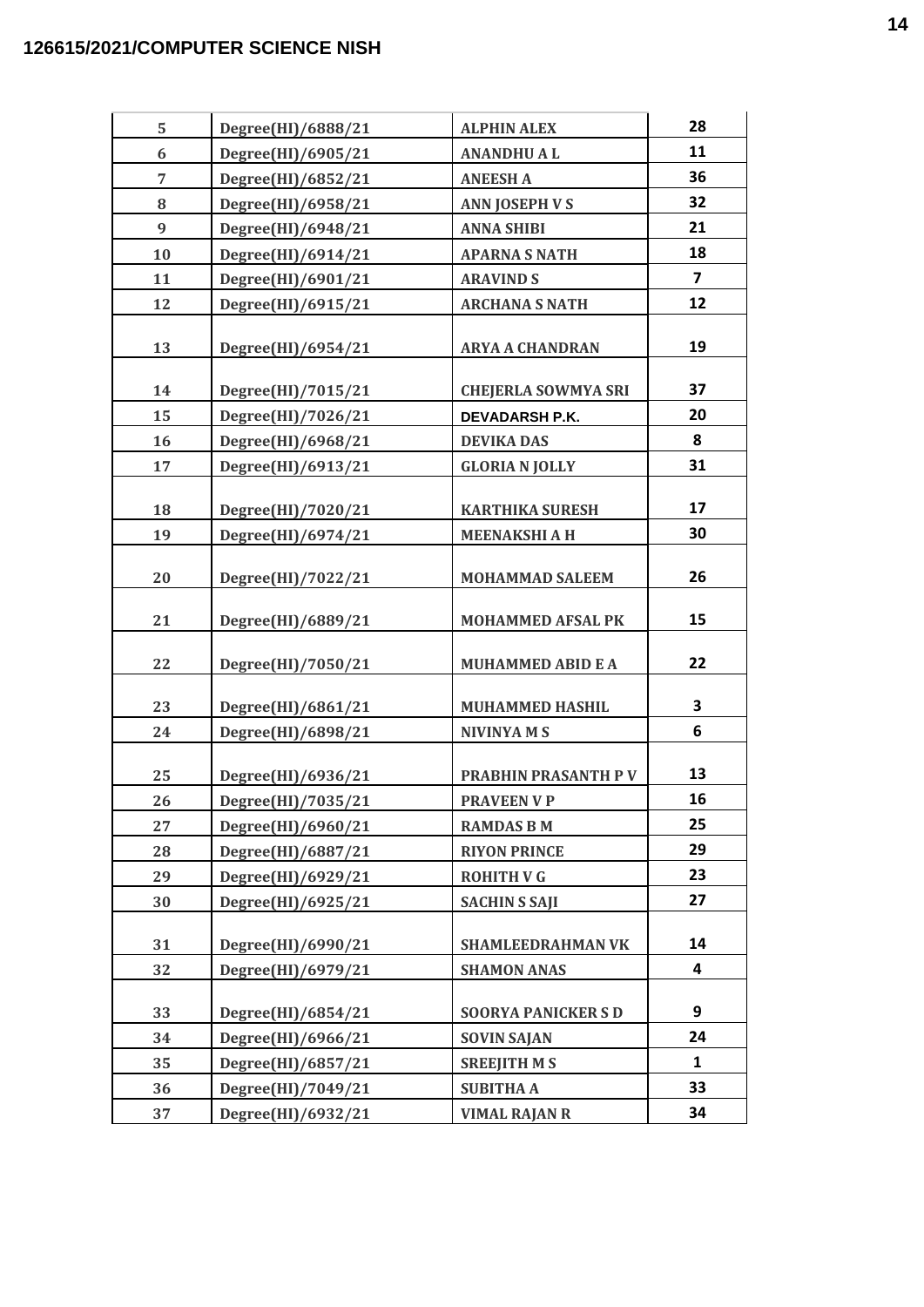| 5  | Degree(HI)/6888/21 | <b>ALPHIN ALEX</b>          | 28                      |
|----|--------------------|-----------------------------|-------------------------|
| 6  | Degree(HI)/6905/21 | <b>ANANDHUAL</b>            | 11                      |
| 7  | Degree(HI)/6852/21 | <b>ANEESH A</b>             | 36                      |
| 8  | Degree(HI)/6958/21 | <b>ANN JOSEPH V S</b>       | 32                      |
| 9  | Degree(HI)/6948/21 | <b>ANNA SHIBI</b>           | 21                      |
| 10 | Degree(HI)/6914/21 | <b>APARNA S NATH</b>        | 18                      |
| 11 | Degree(HI)/6901/21 | <b>ARAVIND S</b>            | $\overline{\mathbf{z}}$ |
| 12 | Degree(HI)/6915/21 | <b>ARCHANA S NATH</b>       | 12                      |
| 13 | Degree(HI)/6954/21 | <b>ARYA A CHANDRAN</b>      | 19                      |
| 14 | Degree(HI)/7015/21 | <b>CHEJERLA SOWMYA SRI</b>  | 37                      |
| 15 | Degree(HI)/7026/21 | DEVADARSH P.K.              | 20                      |
| 16 | Degree(HI)/6968/21 | <b>DEVIKA DAS</b>           | 8                       |
| 17 | Degree(HI)/6913/21 | <b>GLORIA N JOLLY</b>       | 31                      |
| 18 | Degree(HI)/7020/21 | <b>KARTHIKA SURESH</b>      | 17                      |
| 19 | Degree(HI)/6974/21 | <b>MEENAKSHI A H</b>        | 30                      |
| 20 | Degree(HI)/7022/21 | <b>MOHAMMAD SALEEM</b>      | 26                      |
| 21 | Degree(HI)/6889/21 | <b>MOHAMMED AFSAL PK</b>    | 15                      |
| 22 | Degree(HI)/7050/21 | <b>MUHAMMED ABID E A</b>    | 22                      |
| 23 | Degree(HI)/6861/21 | <b>MUHAMMED HASHIL</b>      | 3                       |
| 24 | Degree(HI)/6898/21 | <b>NIVINYAMS</b>            | 6                       |
| 25 | Degree(HI)/6936/21 | <b>PRABHIN PRASANTH P V</b> | 13                      |
| 26 | Degree(HI)/7035/21 | <b>PRAVEEN V P</b>          | 16                      |
| 27 | Degree(HI)/6960/21 | <b>RAMDAS B M</b>           | 25                      |
| 28 | Degree(HI)/6887/21 | <b>RIYON PRINCE</b>         | 29                      |
| 29 | Degree(HI)/6929/21 | <b>ROHITH V G</b>           | 23                      |
| 30 | Degree(HI)/6925/21 | <b>SACHIN S SAJI</b>        | 27                      |
|    |                    |                             |                         |
| 31 | Degree(HI)/6990/21 | <b>SHAMLEEDRAHMAN VK</b>    | 14                      |
| 32 | Degree(HI)/6979/21 | <b>SHAMON ANAS</b>          | 4                       |
| 33 | Degree(HI)/6854/21 | <b>SOORYA PANICKER S D</b>  | 9                       |
| 34 | Degree(HI)/6966/21 | <b>SOVIN SAJAN</b>          | 24                      |
| 35 | Degree(HI)/6857/21 | <b>SREEJITH M S</b>         | $\mathbf{1}$            |
| 36 | Degree(HI)/7049/21 | <b>SUBITHA A</b>            | 33                      |
| 37 | Degree(HI)/6932/21 | <b>VIMAL RAJAN R</b>        | 34                      |